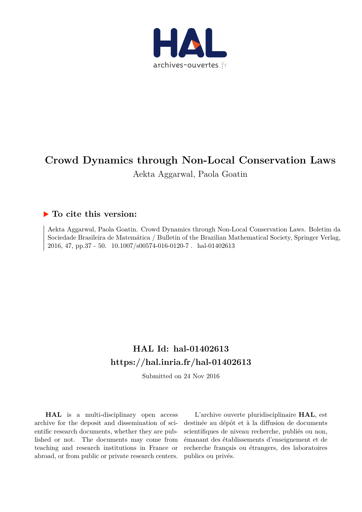

# **Crowd Dynamics through Non-Local Conservation Laws**

Aekta Aggarwal, Paola Goatin

## **To cite this version:**

Aekta Aggarwal, Paola Goatin. Crowd Dynamics through Non-Local Conservation Laws. Boletim da Sociedade Brasileira de Matemática / Bulletin of the Brazilian Mathematical Society, Springer Verlag, 2016, 47, pp.37 - 50.  $10.1007/s00574-016-0120-7$ . hal-01402613

# **HAL Id: hal-01402613 <https://hal.inria.fr/hal-01402613>**

Submitted on 24 Nov 2016

**HAL** is a multi-disciplinary open access archive for the deposit and dissemination of scientific research documents, whether they are published or not. The documents may come from teaching and research institutions in France or abroad, or from public or private research centers.

L'archive ouverte pluridisciplinaire **HAL**, est destinée au dépôt et à la diffusion de documents scientifiques de niveau recherche, publiés ou non, émanant des établissements d'enseignement et de recherche français ou étrangers, des laboratoires publics ou privés.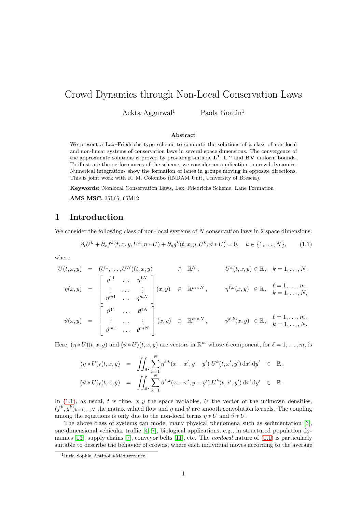# Crowd Dynamics through Non-Local Conservation Laws

Aekta Aggarwal<sup>1</sup> Paola Goatin<sup>1</sup>

#### Abstract

We present a Lax–Friedrichs type scheme to compute the solutions of a class of non-local and non-linear systems of conservation laws in several space dimensions. The convergence of the approximate solutions is proved by providing suitable  $L^1$ ,  $L^{\infty}$  and BV uniform bounds. To illustrate the performances of the scheme, we consider an application to crowd dynamics. Numerical integrations show the formation of lanes in groups moving in opposite directions. This is joint work with R. M. Colombo (INDAM Unit, University of Brescia).

Keywords: Nonlocal Conservation Laws, Lax–Friedrichs Scheme, Lane Formation

AMS MSC: 35L65, 65M12

## 1 Introduction

We consider the following class of non-local systems of  $N$  conservation laws in 2 space dimensions:

<span id="page-1-0"></span>
$$
\partial_t U^k + \partial_x f^k(t, x, y, U^k, \eta * U) + \partial_y g^k(t, x, y, U^k, \vartheta * U) = 0, \quad k \in \{1, \dots, N\},\tag{1.1}
$$

where

$$
U(t,x,y) = (U^1,\ldots,U^N)(t,x,y) \in \mathbb{R}^N, \qquad U^k(t,x,y) \in \mathbb{R}, \quad k=1,\ldots,N,
$$
  

$$
\eta(x,y) = \begin{bmatrix} \eta^{11} & \cdots & \eta^{1N} \\ \vdots & \cdots & \vdots \\ \eta^{m1} & \cdots & \eta^{mN} \end{bmatrix} (x,y) \in \mathbb{R}^{m\times N}, \qquad \eta^{\ell,k}(x,y) \in \mathbb{R}, \quad \begin{array}{l} \ell=1,\ldots,m, \\ k=1,\ldots,N, \\ k=1,\ldots,N, \end{array}
$$
  

$$
\vartheta(x,y) = \begin{bmatrix} \vartheta^{11} & \cdots & \vartheta^{1N} \\ \vdots & \cdots & \vdots \\ \vartheta^{m1} & \cdots & \vartheta^{mN} \end{bmatrix} (x,y) \in \mathbb{R}^{m\times N}, \qquad \vartheta^{\ell,k}(x,y) \in \mathbb{R}, \quad \begin{array}{l} \ell=1,\ldots,m, \\ k=1,\ldots,N. \end{array}
$$

Here,  $(\eta * U)(t, x, y)$  and  $(\vartheta * U)(t, x, y)$  are vectors in  $\mathbb{R}^m$  whose  $\ell$ -component, for  $\ell = 1, \ldots, m$ , is

$$
(\eta * U)_{\ell}(t, x, y) = \iint_{\mathbb{R}^2} \sum_{k=1}^N \eta^{\ell, k} (x - x', y - y') U^k(t, x', y') dx' dy' \in \mathbb{R},
$$
  

$$
(\vartheta * U)_{\ell}(t, x, y) = \iint_{\mathbb{R}^2} \sum_{k=1}^N \vartheta^{\ell, k} (x - x', y - y') U^k(t, x', y') dx' dy' \in \mathbb{R}.
$$

In  $(1.1)$ , as usual, t is time,  $x, y$  the space variables, U the vector of the unknown densities,  $(f^k, g^k)_{k=1,\dots,N}$  the matrix valued flow and  $\eta$  and  $\vartheta$  are smooth convolution kernels. The coupling among the equations is only due to the non-local terms  $\eta * U$  and  $\vartheta * U$ .

The above class of systems can model many physical phenomena such as sedimentation [\[3\]](#page-8-0), one-dimensional vehicular traffic [\[4,](#page-9-0) [7\]](#page-9-1), biological applications, e.g., in structured population dynamics [\[13\]](#page-9-2), supply chains [\[7\]](#page-9-1), conveyor belts [\[11\]](#page-9-3), etc. The nonlocal nature of [\(1.1\)](#page-1-0) is particularly suitable to describe the behavior of crowds, where each individual moves according to the average

<sup>&</sup>lt;sup>1</sup>Inria Sophia Antipolis-Méditerranée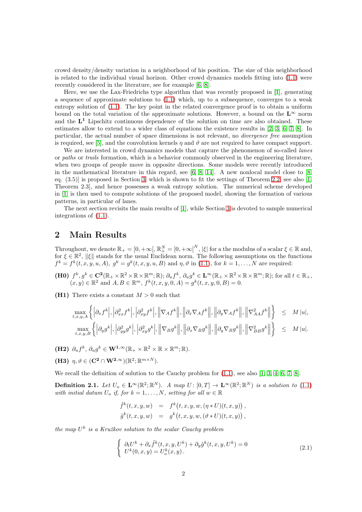crowd density/density variation in a neighborhood of his position. The size of this neighborhood is related to the individual visual horizon. Other crowd dynamics models fitting into [\(1.1\)](#page-1-0) were recently considered in the literature, see for example [\[6,](#page-9-4) [8\]](#page-9-5).

Here, we use the Lax-Friedrichs type algorithm that was recently proposed in [\[1\]](#page-8-1), generating a sequence of approximate solutions to  $(1.1)$  which, up to a subsequence, converges to a weak entropy solution of [\(1.1\)](#page-1-0). The key point in the related convergence proof is to obtain a uniform bound on the total variation of the approximate solutions. However, a bound on the  $L^{\infty}$  norm and the  $L^1$  Lipschitz continuous dependence of the solution on time are also obtained. These estimates allow to extend to a wider class of equations the existence results in [\[2,](#page-8-2) [3,](#page-8-0) [6,](#page-9-4) [7,](#page-9-1) [8\]](#page-9-5). In particular, the actual number of space dimensions is not relevant, no divergence free assumption is required, see [\[5\]](#page-9-6), and the convolution kernels  $\eta$  and  $\vartheta$  are not required to have compact support.

We are interested in crowd dynamics models that capture the phenomenon of so-called *lanes* or paths or trails formation, which is a behavior commonly observed in the engineering literature, when two groups of people move in opposite directions. Some models were recently introduced in the mathematical literature in this regard, see [\[6,](#page-9-4) [8,](#page-9-5) [14\]](#page-9-7). A new nonlocal model close to [\[8,](#page-9-5) eq.  $(3.5)$ ] is proposed in Section [3,](#page-5-0) which is shown to fit the settings of Theorem [2.2,](#page-4-0) see also [\[1,](#page-8-1) Theorem 2.3], and hence possesses a weak entropy solution. The numerical scheme developed in [\[1\]](#page-8-1) is then used to compute solutions of the proposed model, showing the formation of various patterns, in particular of lanes.

The next section revisits the main results of [\[1\]](#page-8-1), while Section [3](#page-5-0) is devoted to sample numerical integrations of [\(1.1\)](#page-1-0).

## <span id="page-2-1"></span>2 Main Results

Throughout, we denote  $\mathbb{R}_+ = [0, +\infty, [\mathbb{R}_+^N] = [0, +\infty]^N$ ,  $|\xi|$  for a the modulus of a scalar  $\xi \in \mathbb{R}$  and, for  $\xi \in \mathbb{R}^2$ ,  $\|\xi\|$  stands for the usual Euclidean norm. The following assumptions on the functions  $f^k = f^k(t, x, y, u, A), g^k = g^k(t, x, y, u, B)$  and  $\eta, \vartheta$  in [\(1.1\)](#page-1-0), for  $k = 1, \ldots, N$  are required:

(H0)  $f^k, g^k \in \mathbb{C}^2(\mathbb{R}_+ \times \mathbb{R}^2 \times \mathbb{R} \times \mathbb{R}^m; \mathbb{R}); \partial_u f^k, \partial_u g^k \in \mathbf{L}^{\infty}(\mathbb{R}_+ \times \mathbb{R}^2 \times \mathbb{R} \times \mathbb{R}^m; \mathbb{R});$  for all  $t \in \mathbb{R}_+$ ,  $(x, y) \in \mathbb{R}^2$  and  $A, B \in \mathbb{R}^m$ ,  $f^k(t, x, y, 0, A) = g^k(t, x, y, 0, B) = 0$ .

(H1) There exists a constant  $M > 0$  such that

$$
\max_{t,x,y,A} \left\{ \left| \partial_x f^k \right|, \left| \partial_{xx}^2 f^k \right|, \left| \partial_{xy}^2 f^k \right|, \left\| \nabla_A f^k \right\|, \left\| \partial_x \nabla_A f^k \right\|, \left\| \partial_y \nabla_A f^k \right\|, \left\| \nabla_{AA}^2 f^k \right\| \right\} \leq M |u|,
$$
\n
$$
\max_{t,x,y,B} \left\{ \left| \partial_y g^k \right|, \left| \partial_{yy}^2 g^k \right|, \left| \partial_{xy}^2 g^k \right|, \left\| \nabla_B g^k \right\|, \left\| \partial_x \nabla_B g^k \right\|, \left\| \partial_y \nabla_B g^k \right\|, \left\| \nabla_{BB}^2 g^k \right\| \right\} \leq M |u|.
$$

(H2)  $\partial_u f^k$ ,  $\partial_u g^k \in \mathbf{W}^{1,\infty}(\mathbb{R}_+ \times \mathbb{R}^2 \times \mathbb{R} \times \mathbb{R}^m; \mathbb{R})$ .

(H3)  $\eta, \vartheta \in (\mathbf{C}^2 \cap \mathbf{W}^{2,\infty})(\mathbb{R}^2; \mathbb{R}^{m \times N}).$ 

We recall the definition of solution to the Cauchy problem for  $(1.1)$ , see also  $[1, 3, 4, 6, 7, 8]$  $[1, 3, 4, 6, 7, 8]$  $[1, 3, 4, 6, 7, 8]$  $[1, 3, 4, 6, 7, 8]$  $[1, 3, 4, 6, 7, 8]$  $[1, 3, 4, 6, 7, 8]$ .

<span id="page-2-0"></span>**Definition 2.1.** Let  $U_o \in \mathbf{L}^{\infty}(\mathbb{R}^2; \mathbb{R}^N)$ . A map  $U: [0, T] \to \mathbf{L}^{\infty}(\mathbb{R}^2; \mathbb{R}^N)$  is a solution to  $(1.1)$ with initial datum  $U_o$  if, for  $k = 1, ..., N$ , setting for all  $w \in \mathbb{R}$ 

$$
\begin{array}{rcl}\n\tilde{f}^k(t,x,y,w) & = & f^k\big(t,x,y,w,(\eta\ast U)(t,x,y)\big) \,, \\
\tilde{g}^k(t,x,y,w) & = & g^k\big(t,x,y,w,(\vartheta\ast U)(t,x,y)\big) \,,\n\end{array}
$$

the map  $U^k$  is a Kružkov solution to the scalar Cauchy problem

$$
\begin{cases}\n\partial_t U^k + \partial_x \tilde{f}^k(t, x, y, U^k) + \partial_y \tilde{g}^k(t, x, y, U^k) = 0 \\
U^k(0, x, y) = U^k_{\sigma}(x, y).\n\end{cases}
$$
\n(2.1)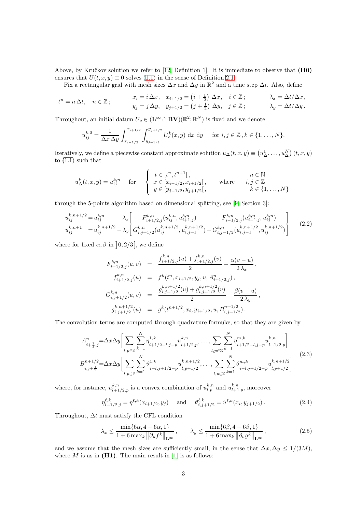Above, by Kružkov solution we refer to  $[12,$  Definition 1]. It is immediate to observe that  $(H0)$ ensures that  $U(t, x, y) \equiv 0$  solves [\(1.1\)](#page-1-0) in the sense of Definition [2.1.](#page-2-0)

Fix a rectangular grid with mesh sizes  $\Delta x$  and  $\Delta y$  in  $\mathbb{R}^2$  and a time step  $\Delta t$ . Also, define

$$
t^{n} = n \Delta t, \quad n \in \mathbb{Z}; \qquad \begin{aligned} x_{i} &= i \Delta x, \quad x_{i+1/2} = \left(i + \frac{1}{2}\right) \Delta x, \quad i \in \mathbb{Z}; \qquad \lambda_{x} = \Delta t / \Delta x, \\ y_{j} &= j \Delta y, \quad y_{j+1/2} = \left(j + \frac{1}{2}\right) \Delta y, \quad j \in \mathbb{Z}; \qquad \lambda_{y} = \Delta t / \Delta y. \end{aligned}
$$

Throughout, an initial datum  $U_o \in (\mathbf{L}^{\infty} \cap \mathbf{BV})(\mathbb{R}^2; \mathbb{R}^N)$  is fixed and we denote

$$
u_{ij}^{k,0} = \frac{1}{\Delta x \, \Delta y} \int_{x_{i-1/2}}^{x_{i+1/2}} \int_{y_{j-1/2}}^{y_{j+1/2}} U_o^k(x, y) \, \mathrm{d}x \, \mathrm{d}y \quad \text{ for } i, j \in \mathbb{Z}, k \in \{1, \dots, N\}.
$$

Iteratively, we define a piecewise constant approximate solution  $u_{\Delta}(t, x, y) \equiv (u_{\Delta}^1, \dots, u_{\Delta}^N)(t, x, y)$ to [\(1.1\)](#page-1-0) such that

$$
u_{\Delta}^{k}(t,x,y) = u_{ij}^{k,n} \quad \text{for} \quad \begin{cases} t \in [t^{n}, t^{n+1}], & n \in \mathbb{N} \\ x \in [x_{i-1/2}, x_{i+1/2}], & \text{where} \quad i, j \in \mathbb{Z} \\ y \in [y_{j-1/2}, y_{j+1/2}], & k \in \{1, ..., N\} \end{cases}
$$

through the 5-points algorithm based on dimensional splitting, see [\[9,](#page-9-9) Section 3]:

<span id="page-3-1"></span>
$$
u_{ij}^{k,n+1/2} = u_{ij}^{k,n} - \lambda_x \left[ F_{i+1/2,j}^{k,n}(u_{ij}^{k,n}, u_{i+1,j}^{k,n}) - F_{i-1/2,j}^{k,n}(u_{i-1,j}^{k,n}, u_{ij}^{k,n}) \right]
$$
  
\n
$$
u_{ij}^{k,n+1} = u_{ij}^{k,n+1/2} - \lambda_y \left[ G_{i,j+1/2}^{k,n}(u_{ij}^{k,n+1/2}, u_{i,j+1}^{k,n+1/2}) - G_{i,j-1/2}^{k,n}(u_{i,j-1}^{k,n+1/2}, u_{ij}^{k,n+1/2}) \right]
$$
\n(2.2)

where for fixed  $\alpha, \beta$  in  $\vert 0, 2/3 \vert$ , we define

$$
F_{i+1/2,j}^{k,n}(u,v) = \frac{f_{i+1/2,j}^{k,n}(u) + f_{i+1/2,j}^{k,n}(v)}{2} - \frac{\alpha(v-u)}{2\lambda_x},
$$
  
\n
$$
f_{i+1/2,j}^{k,n}(u) = f^k(t^n, x_{i+1/2}, y_j, u, A_{i+1/2,j}^n),
$$
  
\n
$$
G_{i,j+1/2}^{k,n}(u,v) = \frac{g_{i,j+1/2}^{k,n+1/2}(u) + g_{i,j+1/2}^{k,n+1/2}(v)}{2} - \frac{\beta(v-u)}{2\lambda_y},
$$
  
\n
$$
g_{i,j+1/2}^{k,n+1/2}(u) = g^k(t^{n+1/2}, x_i, y_{j+1/2}, u, B_{i,j+1/2}^{n+1/2}).
$$

The convolution terms are computed through quadrature formulæ, so that they are given by

$$
A_{i+\frac{1}{2},j}^{n} = \Delta x \Delta y \left[ \sum_{l,p \in \mathbb{Z}} \sum_{k=1}^{N} \eta_{i+l/2-l,j-p}^{1,k} u_{l+1/2,p}^{k,n}, \dots, \sum_{l,p \in \mathbb{Z}} \sum_{k=1}^{N} \eta_{i+l/2-l,j-p}^{m,k} u_{l+1/2,p}^{k,n} \right]
$$
  
\n
$$
B_{i,j+\frac{1}{2}}^{n+1/2} = \Delta x \Delta y \left[ \sum_{l,p \in \mathbb{Z}} \sum_{k=1}^{N} \vartheta_{i-l,j+1/2-p}^{1,k} u_{l,p+1/2}^{k,n+1/2}, \dots, \sum_{l,p \in \mathbb{Z}} \sum_{k=1}^{N} \vartheta_{i-l,j+1/2-p}^{m,k} u_{l,p+1/2}^{k,n+1/2} \right]
$$
(2.3)

where, for instance,  $u_{l+1}^{k,n}$  $\binom{k,n}{l+1/2,p}$  is a convex combination of  $u_{l,p}^{k,n}$  and  $u_{l+1,p}^{k,n}$ , moreover

$$
\eta_{i+1/2,j}^{\ell,k} = \eta^{\ell,k}(x_{i+1/2}, y_j) \quad \text{and} \quad \vartheta_{i,j+1/2}^{\ell,k} = \vartheta^{\ell,k}(x_i, y_{j+1/2}). \tag{2.4}
$$

Throughout,  $\Delta t$  must satisfy the CFL condition

<span id="page-3-0"></span>
$$
\lambda_x \le \frac{\min\{6\alpha, 4 - 6\alpha, 1\}}{1 + 6 \max_k \|\partial_u f^k\|_{\mathbf{L}^\infty}}, \qquad \lambda_y \le \frac{\min\{6\beta, 4 - 6\beta, 1\}}{1 + 6 \max_k \|\partial_u g^k\|_{\mathbf{L}^\infty}},
$$
\n(2.5)

and we assume that the mesh sizes are sufficiently small, in the sense that  $\Delta x, \Delta y \leq 1/(3M)$ , where  $M$  is as in  $(H1)$ . The main result in [\[1\]](#page-8-1) is as follows: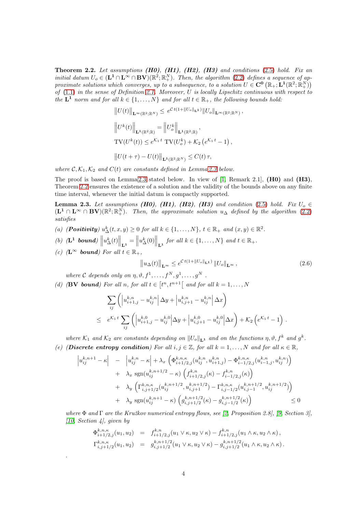<span id="page-4-0"></span>**Theorem 2.2.** Let assumptions  $(H0)$ ,  $(H1)$ ,  $(H2)$ ,  $(H3)$  and conditions  $(2.5)$  hold. Fix an initial datum  $U_o \in (\mathbf{L}^1 \cap \mathbf{L}^{\infty} \cap \mathbf{BV})(\mathbb{R}^2; \mathbb{R}^N_+)$ . Then, the algorithm [\(2.2\)](#page-3-1) defines a sequence of approximate solutions which converges, up to a subsequence, to a solution  $U \in \mathbf{C}^0 (\mathbb{R}_+; \mathbf{L}^1 (\mathbb{R}^2; \mathbb{R}^N_+))$ of  $(1.1)$  in the sense of Definition [2.1.](#page-2-0) Moreover, U is locally Lipschitz continuous with respect to the  $L^1$  norm and for all  $k \in \{1, ..., N\}$  and for all  $t \in \mathbb{R}_+$ , the following bounds hold:

$$
||U(t)||_{\mathbf{L}^{\infty}(\mathbb{R}^2; \mathbb{R}^N)} \leq e^{Ct(1+||U_o||_{\mathbf{L}^1})} ||U_o||_{\mathbf{L}^{\infty}(\mathbb{R}^2; \mathbb{R}^N)}
$$
  
\n
$$
||U^k(t)||_{\mathbf{L}^1(\mathbb{R}^2; \mathbb{R})} = ||U^k_o||_{\mathbf{L}^1(\mathbb{R}^2; \mathbb{R})},
$$
  
\nTV
$$
(U^k(t)) \leq e^{K_1 t} \text{ TV}(U^k_o) + K_2 \left(e^{K_1 t} - 1\right),
$$
  
\n
$$
||U(t+\tau) - U(t)||_{\mathbf{L}^1(\mathbb{R}^2; \mathbb{R}^N)} \leq C(t)\tau,
$$

where  $\mathcal{C}, \mathcal{K}_1, \mathcal{K}_2$  and  $C(t)$  are constants defined in Lemma [2.3](#page-4-1) below.

The proof is based on Lemma [2.3](#page-4-1) stated below. In view of  $[1,$  Remark 2.1,  $(H0)$  and  $(H3)$ , Theorem [2.2](#page-4-0) ensures the existence of a solution and the validity of the bounds above on any finite time interval, whenever the initial datum is compactly supported.

<span id="page-4-1"></span>**Lemma 2.3.** Let assumptions (H0), (H1), (H2), (H3) and condition [\(2.5\)](#page-3-0) hold. Fix  $U_o \in$  $(\mathbf{L}^1 \cap \mathbf{L}^{\infty} \cap \mathbf{BV}) (\mathbb{R}^2; \mathbb{R}^N_+)$ . Then, the approximate solution  $u_{\Delta}$  defined by the algorithm [\(2.2\)](#page-3-1) satisfies

- (a) (**Positivity**)  $u_{\Delta}^k(t, x, y) \ge 0$  for all  $k \in \{1, ..., N\}$ ,  $t \in \mathbb{R}_+$  and  $(x, y) \in \mathbb{R}^2$ .
- (b)  $(L^1 \text{ bound}) \left\| u_{\Delta}^k(t) \right\|_{L^1} = \left\| u_{\Delta}^k(0) \right\|_{L^1}$  for all  $k \in \{1, ..., N\}$  and  $t \in \mathbb{R}_+$ .
- (c) (L<sup>∞</sup> bound) For all  $t \in \mathbb{R}_+$ ,

.

$$
\left\|u_{\Delta}(t)\right\|_{\mathbf{L}^{\infty}} \le e^{\mathcal{C}t(1+\|U_o\|_{\mathbf{L}^1})} \|U_o\|_{\mathbf{L}^{\infty}},\tag{2.6}
$$

,

where C depends only on  $\eta, \vartheta, f^1, \ldots, f^N, g^1, \ldots, g^N$ .

(d) (**BV bound**) For all  $n$ , for all  $t \in [t^n, t^{n+1}]$  and for all  $k = 1, ..., N$ 

$$
\sum_{ij} \left( \left| u_{i+1,j}^{k,n} - u_{ij}^{k,n} \right| \Delta y + \left| u_{i,j+1}^{k,n} - u_{ij}^{k,n} \right| \Delta x \right) \n\leq e^{\mathcal{K}_1 t} \sum_{ij} \left( \left| u_{i+1,j}^{k,0} - u_{ij}^{k,0} \right| \Delta y + \left| u_{i,j+1}^{k,0} - u_{ij}^{k,0} \right| \Delta x \right) + \mathcal{K}_2 \left( e^{\mathcal{K}_1 t} - 1 \right).
$$

where  $\mathcal{K}_1$  and  $\mathcal{K}_2$  are constants depending on  $||U_o||_{\mathbf{L}^1}$  and on the functions  $\eta$ ,  $\vartheta$ ,  $f^k$  and  $g^k$ .

(e) (Discrete entropy condition) For all  $i, j \in \mathbb{Z}$ , for all  $k = 1, ..., N$  and for all  $\kappa \in \mathbb{R}$ ,

$$
\begin{aligned}\n\left| u_{ij}^{k,n+1} - \kappa \right| &= \left| u_{ij}^{k,n} - \kappa \right| + \lambda_x \left( \Phi_{i+1/2,j}^{k,n,\kappa}(u_{ij}^{k,n}, u_{i+1,j}^{k,n}) - \Phi_{i-1/2,j}^{k,n,\kappa}(u_{i-1,j}^{k,n}, u_{ij}^{k,n}) \right) \\
&+ \lambda_x \operatorname{sgn}(u_{ij}^{k,n+1/2} - \kappa) \left( f_{i+1/2,j}^{k,n}( \kappa) - f_{i-1/2,j}^{k,n}( \kappa) \right) \\
&+ \lambda_y \left( \Gamma_{i,j+1/2}^{k,n,\kappa}(u_{ij}^{k,n+1/2}, u_{i,j+1}^{k,n+1/2}) - \Gamma_{i,j-1/2}^{k,n,\kappa}(u_{i,j-1}^{k,n+1/2}, u_{ij}^{k,n+1/2}) \right) \\
&+ \lambda_y \operatorname{sgn}(u_{ij}^{k,n+1} - \kappa) \left( g_{i,j+1/2}^{k,n+1/2}(\kappa) - g_{i,j-1/2}^{k,n+1/2}(\kappa) \right) \leq 0\n\end{aligned}
$$

where  $\Phi$  and  $\Gamma$  are the Kružkov numerical entropy flows, see [\[2,](#page-8-2) Proposition 2.8], [\[9,](#page-9-9) Section 3],  $[10, Section 4], given by$  $[10, Section 4], given by$ 

$$
\Phi_{i+1/2,j}^{k,n,\kappa}(u_1, u_2) = f_{i+1/2,j}^{k,n}(u_1 \vee \kappa, u_2 \vee \kappa) - f_{i+1/2,j}^{k,n}(u_1 \wedge \kappa, u_2 \wedge \kappa),
$$
  

$$
\Gamma_{i,j+1/2}^{k,n,\kappa}(u_1, u_2) = g_{i,j+1/2}^{k,n+1/2}(u_1 \vee \kappa, u_2 \vee \kappa) - g_{i,j+1/2}^{k,n+1/2}(u_1 \wedge \kappa, u_2 \wedge \kappa).
$$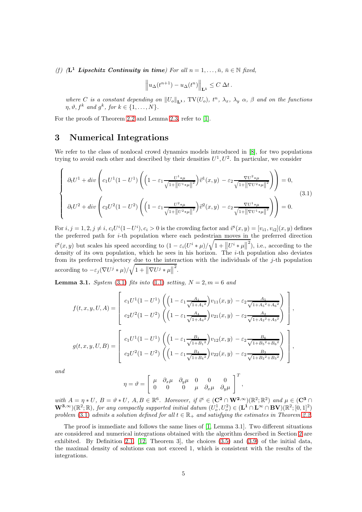(f)  $(L^1$  Lipschitz Continuity in time) For all  $n = 1, ..., \bar{n}, \bar{n} \in \mathbb{N}$  fixed,

$$
\left\| u_{\Delta}(t^{n+1}) - u_{\Delta}(t^n) \right\|_{\mathbf{L}^1} \leq C \, \Delta t \, .
$$

where C is a constant depending on  $||U_{o}||_{\mathbf{L}^{1}}$ , TV $(U_{o})$ ,  $t^{n}$ ,  $\lambda_{x}$ ,  $\lambda_{y}$   $\alpha$ ,  $\beta$  and on the functions  $\eta, \vartheta, f^k \text{ and } g^k \text{, for } k \in \{1, \ldots, N\}.$ 

For the proofs of Theorem [2.2](#page-4-0) and Lemma [2.3,](#page-4-1) refer to [\[1\]](#page-8-1).

### <span id="page-5-0"></span>3 Numerical Integrations

We refer to the class of nonlocal crowd dynamics models introduced in [\[8\]](#page-9-5), for two populations trying to avoid each other and described by their densities  $U^1, U^2$ . In particular, we consider

<span id="page-5-1"></span>
$$
\begin{cases}\n\partial_t U^1 + \operatorname{div}\left(c_1 U^1 (1 - U^1) \left( \left(1 - \varepsilon_1 \frac{U^1 * \mu}{\sqrt{1 + ||U^1 * \mu||^2}} \right) \vec{v}^1(x, y) - \varepsilon_2 \frac{\nabla U^2 * \mu}{\sqrt{1 + ||\nabla U^2 * \mu||^2}} \right) \right) = 0, \\
\partial_t U^2 + \operatorname{div}\left(c_2 U^2 (1 - U^2) \left( \left(1 - \varepsilon_1 \frac{U^2 * \mu}{\sqrt{1 + ||U^2 * \mu||^2}} \right) \vec{v}^2(x, y) - \varepsilon_2 \frac{\nabla U^1 * \mu}{\sqrt{1 + ||\nabla U^1 * \mu||^2}} \right) \right) = 0.\n\end{cases} (3.1)
$$

For  $i, j = 1, 2, j \neq i$ ,  $c_i U^i (1 - U^i)$ ,  $c_i > 0$  is the crowding factor and  $\vec{v}^i(x, y) = [v_{i1}, v_{i2}](x, y)$  defines the preferred path for  $i$ -th population where each pedestrian moves in the preferred direction  $\vec{v}^i(x, y)$  but scales his speed according to  $(1 - \varepsilon_i(U^i * \mu)/\sqrt{1 + ||U^i * \mu||})$  $^{2}$ ), i.e., according to the density of its own population, which he sees in his horizon. The  $i$ -th population also deviates from its preferred trajectory due to the interaction with the individuals of the j-th population according to  $-\varepsilon_j (\nabla U^j * \mu)/\sqrt{1 + ||\nabla U^j * \mu||}$ 2 .

**Lemma 3.1.** System [\(3.1\)](#page-5-1) fits into [\(1.1\)](#page-1-0) setting,  $N = 2, m = 6$  and

$$
f(t, x, y, U, A) = \begin{bmatrix} c_1 U^1 (1 - U^1) \left( \left( 1 - \varepsilon_1 \frac{A_1}{\sqrt{1 + A_1^2}} \right) v_{11}(x, y) - \varepsilon_2 \frac{A_5}{\sqrt{1 + A_5^2 + A_6^2}} \right) \\ c_2 U^2 (1 - U^2) \left( \left( 1 - \varepsilon_1 \frac{A_4}{\sqrt{1 + A_4^2}} \right) v_{21}(x, y) - \varepsilon_2 \frac{A_2}{\sqrt{1 + A_2^2 + A_3^2}} \right) \end{bmatrix},
$$

$$
g(t, x, y, U, B) = \begin{bmatrix} c_1 U^1 (1 - U^1) \left( \left( 1 - \varepsilon_1 \frac{B_1}{\sqrt{1 + B_1^2}} \right) v_{12}(x, y) - \varepsilon_2 \frac{B_6}{\sqrt{1 + B_5^2 + B_6^2}} \right) \\ c_2 U^2 (1 - U^2) \left( \left( 1 - \varepsilon_1 \frac{B_4}{\sqrt{1 + B_4^2}} \right) v_{22}(x, y) - \varepsilon_2 \frac{B_3}{\sqrt{1 + B_2^2 + B_3^2}} \right) \end{bmatrix},
$$

and

$$
\eta = \vartheta = \left[ \begin{array}{cccc} \mu & \partial_x \mu & \partial_y \mu & 0 & 0 & 0 \\ 0 & 0 & 0 & \mu & \partial_x \mu & \partial_y \mu \end{array} \right]^T,
$$

with  $A = \eta * U$ ,  $B = \vartheta * U$ ,  $A, B \in \mathbb{R}^6$ . Moreover, if  $\vec{v}^i \in (\mathbb{C}^2 \cap \mathbb{W}^{2,\infty})(\mathbb{R}^2; \mathbb{R}^2)$  and  $\mu \in (\mathbb{C}^3 \cap \mathbb{R}^2)$  $\mathbf{W}^{3,\infty}(\mathbb{R}^2;\mathbb{R})$ , for any compactly supported initial datum  $(U_o^1, U_o^2) \in (\mathbf{L}^1 \cap \mathbf{L}^{\infty} \cap \mathbf{BV})(\mathbb{R}^2; [0,1]^2)$ problem [\(3.1\)](#page-5-1) admits a solution defined for all  $t \in \mathbb{R}_+$  and satisfying the estimates in Theorem [2.2.](#page-4-0)

The proof is immediate and follows the same lines of [\[1,](#page-8-1) Lemma 3.1]. Two different situations are considered and numerical integrations obtained with the algorithm described in Section [2](#page-2-1) are exhibited. By Definition [2.1,](#page-2-0) [\[12,](#page-9-8) Theorem 3], the choices [\(3.5\)](#page-6-0) and [\(3.9\)](#page-7-0) of the initial data, the maximal density of solutions can not exceed 1, which is consistent with the results of the integrations.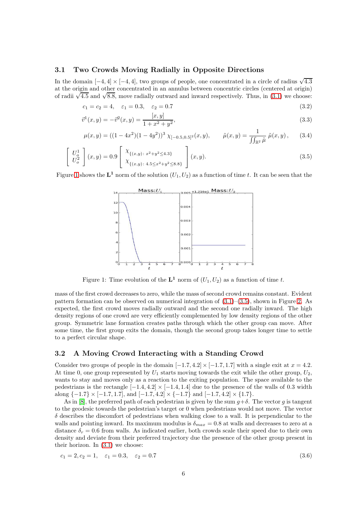#### 3.1 Two Crowds Moving Radially in Opposite Directions

In the domain  $[-4, 4] \times [-4, 4]$ , two groups of people, one concentrated in a circle of radius  $\sqrt{4.3}$ at the origin and other concentrated in an annulus between concentric circles (centered at origin) of radii  $\sqrt{4.5}$  and  $\sqrt{8.8}$ , move radially outward and inward respectively. Thus, in [\(3.1\)](#page-5-1) we choose:

$$
c_1 = c_2 = 4, \quad \varepsilon_1 = 0.3, \quad \varepsilon_2 = 0.7 \tag{3.2}
$$

$$
\vec{v}^1(x,y) = -\vec{v}^2(x,y) = \frac{[x,y]}{1+x^2+y^2},\tag{3.3}
$$

$$
\mu(x,y) = ((1 - 4x^2)(1 - 4y^2))^3 \chi_{[-0.5, 0.5]^2}(x, y), \qquad \tilde{\mu}(x, y) = \frac{1}{\iint_{\mathbb{R}^2} \tilde{\mu}} \tilde{\mu}(x, y), \qquad (3.4)
$$

$$
\begin{bmatrix} U_o^1 \\ U_o^2 \end{bmatrix} (x, y) = 0.9 \begin{bmatrix} \chi_{\{(x, y) : x^2 + y^2 \le 4.3\}} \\ \chi_{\{(x, y) : 4.5 \le x^2 + y^2 \le 8.8\}} \end{bmatrix} (x, y). \tag{3.5}
$$

<span id="page-6-1"></span>Figure [1](#page-6-1) shows the  $L^1$  norm of the solution  $(U_1, U_2)$  as a function of time t. It can be seen that the

<span id="page-6-0"></span>

Figure 1: Time evolution of the  $L^1$  norm of  $(U_1, U_2)$  as a function of time t.

mass of the first crowd decreases to zero, while the mass of second crowd remains constant. Evident pattern formation can be observed on numerical integration of  $(3.1)$ – $(3.5)$ , shown in Figure [2.](#page-7-1) As expected, the first crowd moves radially outward and the second one radially inward. The high density regions of one crowd are very efficiently complemented by low density regions of the other group. Symmetric lane formation creates paths through which the other group can move. After some time, the first group exits the domain, though the second group takes longer time to settle to a perfect circular shape.

#### 3.2 A Moving Crowd Interacting with a Standing Crowd

Consider two groups of people in the domain  $[-1.7, 4.2] \times [-1.7, 1.7]$  with a single exit at  $x = 4.2$ . At time 0, one group represented by  $U_1$  starts moving towards the exit while the other group,  $U_2$ , wants to stay and moves only as a reaction to the exiting population. The space available to the pedestrians is the rectangle  $[-1.4, 4.2] \times [-1.4, 1.4]$  due to the presence of the walls of 0.3 width along  $\{-1.7\} \times [-1.7, 1.7]$ , and  $[-1.7, 4.2] \times \{-1.7\}$  and  $[-1.7, 4.2] \times \{1.7\}$ .

As in [\[8\]](#page-9-5), the preferred path of each pedestrian is given by the sum  $g+\delta$ . The vector g is tangent to the geodesic towards the pedestrian's target or 0 when pedestrians would not move. The vector  $\delta$  describes the discomfort of pedestrians when walking close to a wall. It is perpendicular to the walls and pointing inward. Its maximum modulus is  $\delta_{max} = 0.8$  at walls and decreases to zero at a distance  $\delta_r = 0.6$  from walls. As indicated earlier, both crowds scale their speed due to their own density and deviate from their preferred trajectory due the presence of the other group present in their horizon. In  $(3.1)$  we choose:

$$
c_1 = 2, c_2 = 1, \quad \varepsilon_1 = 0.3, \quad \varepsilon_2 = 0.7 \tag{3.6}
$$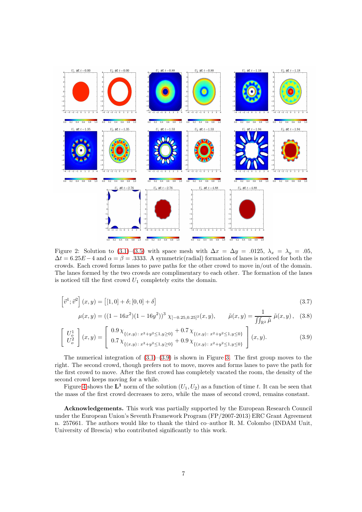<span id="page-7-1"></span>

Figure 2: Solution to [\(3.1\)](#page-5-1)–[\(3.5\)](#page-6-0) with space mesh with  $\Delta x = \Delta y = .0125$ ,  $\lambda_x = \lambda_y = .05$ ,  $\Delta t = 6.25E - 4$  and  $\alpha = \beta = .3333$ . A symmetric(radial) formation of lanes is noticed for both the crowds. Each crowd forms lanes to pave paths for the other crowd to move in/out of the domain. The lanes formed by the two crowds are complimentary to each other. The formation of the lanes is noticed till the first crowd  $U_1$  completely exits the domain.

$$
\left[\vec{v}^1; \vec{v}^2\right](x, y) = \left[\left[1, 0\right] + \delta; \left[0, 0\right] + \delta\right] \tag{3.7}
$$

<span id="page-7-0"></span>
$$
\mu(x,y) = ((1 - 16x^2)(1 - 16y^2))^3 \chi_{[-0.25, 0.25]^2}(x, y), \qquad \tilde{\mu}(x,y) = \frac{1}{\iint_{\mathbb{R}^2} \tilde{\mu}} \tilde{\mu}(x, y), \quad (3.8)
$$

$$
\begin{bmatrix} U_o^1 \\ U_o^2 \end{bmatrix} (x, y) = \begin{bmatrix} 0.9 \chi_{\{(x,y): \, x^2+y^2 \le 1, y \ge 0\}} + 0.7 \chi_{\{(x,y): \, x^2+y^2 \le 1, y \le 0\}} \\ 0.7 \chi_{\{(x,y): \, x^2+y^2 \le 1, y \ge 0\}} + 0.9 \chi_{\{(x,y): \, x^2+y^2 \le 1, y \le 0\}} \end{bmatrix} (x, y).
$$
 (3.9)

The numerical integration of  $(3.1)$ – $(3.9)$  is shown in Figure [3.](#page-8-3) The first group moves to the right. The second crowd, though prefers not to move, moves and forms lanes to pave the path for the first crowd to move. After the first crowd has completely vacated the room, the density of the second crowd keeps moving for a while.

Figure [4](#page-8-4) shows the  $L^1$  norm of the solution  $(U_1, U_2)$  as a function of time t. It can be seen that the mass of the first crowd decreases to zero, while the mass of second crowd, remains constant.

Acknowledgements. This work was partially supported by the European Research Council under the European Union's Seventh Framework Program (FP/2007-2013) ERC Grant Agreement n. 257661. The authors would like to thank the third co–author R. M. Colombo (INDAM Unit, University of Brescia) who contributed significantly to this work.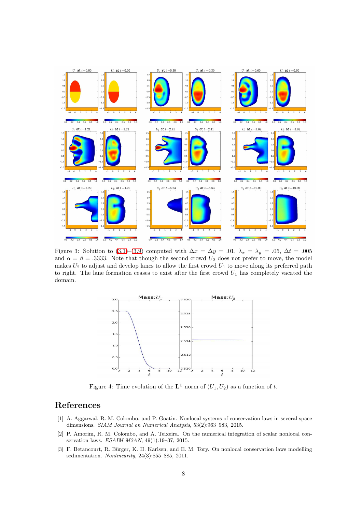<span id="page-8-3"></span>

<span id="page-8-4"></span>Figure 3: Solution to [\(3.1\)](#page-5-1)–[\(3.9\)](#page-7-0) computed with  $\Delta x = \Delta y = .01$ ,  $\lambda_x = \lambda_y = .05$ ,  $\Delta t = .005$ and  $\alpha = \beta = .3333$ . Note that though the second crowd  $U_2$  does not prefer to move, the model makes  $U_2$  to adjust and develop lanes to allow the first crowd  $U_1$  to move along its preferred path to right. The lane formation ceases to exist after the first crowd  $U_1$  has completely vacated the domain.



Figure 4: Time evolution of the  $L^1$  norm of  $(U_1, U_2)$  as a function of t.

### <span id="page-8-1"></span>References

- [1] A. Aggarwal, R. M. Colombo, and P. Goatin. Nonlocal systems of conservation laws in several space dimensions. SIAM Journal on Numerical Analysis, 53(2):963–983, 2015.
- <span id="page-8-2"></span>[2] P. Amorim, R. M. Colombo, and A. Teixeira. On the numerical integration of scalar nonlocal conservation laws. ESAIM M2AN, 49(1):19–37, 2015.
- <span id="page-8-0"></span>[3] F. Betancourt, R. Bürger, K. H. Karlsen, and E. M. Tory. On nonlocal conservation laws modelling sedimentation. Nonlinearity, 24(3):855–885, 2011.